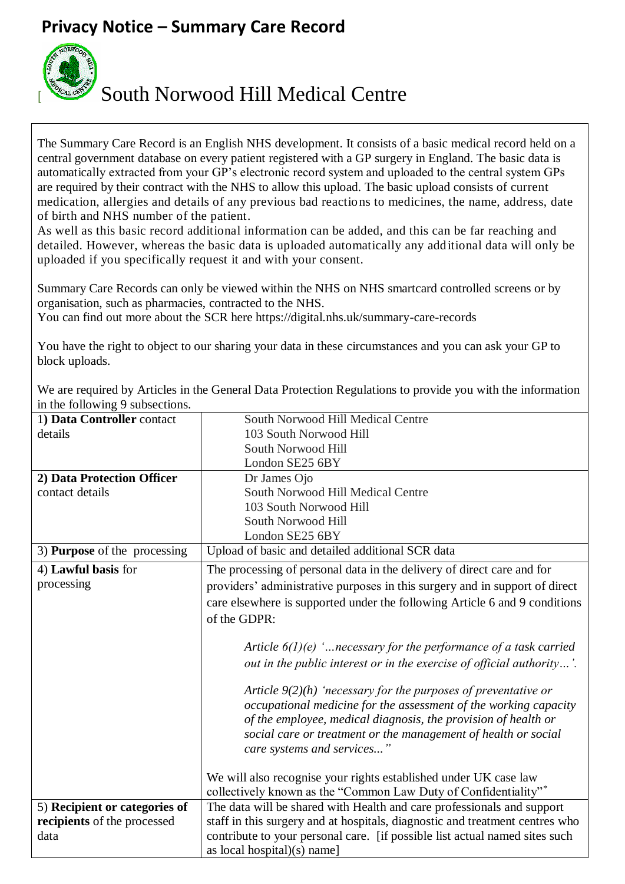## **Privacy Notice – Summary Care Record**



[ South Norwood Hill Medical Centre

The Summary Care Record is an English NHS development. It consists of a basic medical record held on a central government database on every patient registered with a GP surgery in England. The basic data is automatically extracted from your GP's electronic record system and uploaded to the central system GPs are required by their contract with the NHS to allow this upload. The basic upload consists of current medication, allergies and details of any previous bad reactions to medicines, the name, address, date of birth and NHS number of the patient.

As well as this basic record additional information can be added, and this can be far reaching and detailed. However, whereas the basic data is uploaded automatically any additional data will only be uploaded if you specifically request it and with your consent.

Summary Care Records can only be viewed within the NHS on NHS smartcard controlled screens or by organisation, such as pharmacies, contracted to the NHS.

You can find out more about the SCR here https://digital.nhs.uk/summary-care-records

You have the right to object to our sharing your data in these circumstances and you can ask your GP to block uploads.

We are required by Articles in the General Data Protection Regulations to provide you with the information in the following 9 subsections.

| $\frac{1}{2}$ and $\frac{1}{2}$ and $\frac{1}{2}$ and $\frac{1}{2}$ are $\frac{1}{2}$ and $\frac{1}{2}$ |                                                                              |
|---------------------------------------------------------------------------------------------------------|------------------------------------------------------------------------------|
| 1) Data Controller contact                                                                              | South Norwood Hill Medical Centre                                            |
| details                                                                                                 | 103 South Norwood Hill                                                       |
|                                                                                                         | South Norwood Hill                                                           |
|                                                                                                         | London SE25 6BY                                                              |
| 2) Data Protection Officer                                                                              | Dr James Ojo                                                                 |
| contact details                                                                                         | South Norwood Hill Medical Centre                                            |
|                                                                                                         | 103 South Norwood Hill                                                       |
|                                                                                                         | South Norwood Hill                                                           |
|                                                                                                         | London SE25 6BY                                                              |
| 3) Purpose of the processing                                                                            | Upload of basic and detailed additional SCR data                             |
| 4) Lawful basis for                                                                                     | The processing of personal data in the delivery of direct care and for       |
| processing                                                                                              | providers' administrative purposes in this surgery and in support of direct  |
|                                                                                                         | care elsewhere is supported under the following Article 6 and 9 conditions   |
|                                                                                                         | of the GDPR:                                                                 |
|                                                                                                         |                                                                              |
|                                                                                                         | Article $6(1)(e)$ ' necessary for the performance of a task carried          |
|                                                                                                         |                                                                              |
|                                                                                                         | out in the public interest or in the exercise of official authority'.        |
|                                                                                                         | Article $9(2)(h)$ 'necessary for the purposes of preventative or             |
|                                                                                                         | occupational medicine for the assessment of the working capacity             |
|                                                                                                         | of the employee, medical diagnosis, the provision of health or               |
|                                                                                                         | social care or treatment or the management of health or social               |
|                                                                                                         |                                                                              |
|                                                                                                         | care systems and services"                                                   |
|                                                                                                         | We will also recognise your rights established under UK case law             |
|                                                                                                         | collectively known as the "Common Law Duty of Confidentiality"*              |
|                                                                                                         | The data will be shared with Health and care professionals and support       |
| 5) Recipient or categories of                                                                           |                                                                              |
| recipients of the processed                                                                             | staff in this surgery and at hospitals, diagnostic and treatment centres who |
| data                                                                                                    | contribute to your personal care. [if possible list actual named sites such  |
|                                                                                                         | as local hospital $)(s)$ name]                                               |